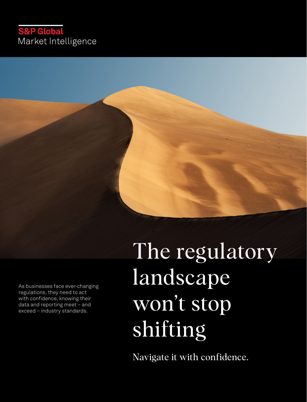# S&P Global<br>Market Intelligence

As businesses face ever-changing regulations, they need to act with confidence, knowing their data and reporting meet – and exceed – industry standards.

# The regulatory landscape won't stop shifting

Navigate it with confidence.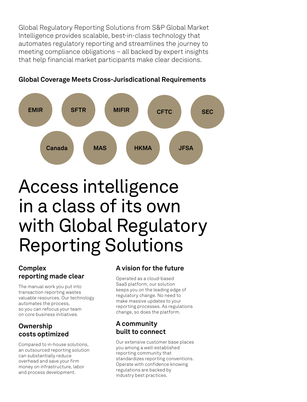Global Regulatory Reporting Solutions from S&P Global Market Intelligence provides scalable, best-in-class technology that automates regulatory reporting and streamlines the journey to meeting compliance obligations – all backed by expert insights that help financial market participants make clear decisions.



#### **Global Coverage Meets Cross-Jurisdicational Requirements**

## Access intelligence in a class of its own with Global Regulatory Reporting Solutions

#### **Complex reporting made clear**

The manual work you put into transaction reporting wastes valuable resources. Our technology automates the process, so you can refocus your team on core business initiatives.

#### **Ownership costs optimized**

Compared to in-house solutions, an outsourced reporting solution can substantially reduce overhead and save your firm money on infrastructure, labor and process development.

### **A vision for the future**

Operated as a cloud-based SaaS platform, our solution keeps you on the leading edge of regulatory change. No need to make massive updates to your reporting processes. As regulations change, so does the platform.

#### **A community built to connect**

Our extensive customer base places you among a well-established reporting community that standardizes reporting conventions. Operate with confidence knowing regulations are backed by industry best practices.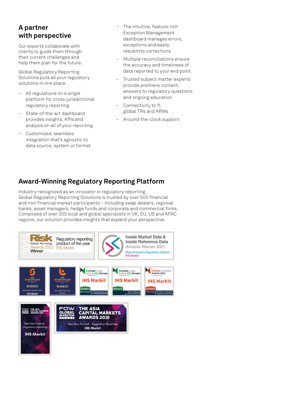#### **A partner with perspective**

Our experts collaborate with clients to guide them through their current challenges and help them plan for the future.

Global Regulatory Reporting Solutions puts all your regulatory solutions in one place.

- All regulations on a single platform for cross-jurisdictional regulatory reporting
- State-of-the-art dashboard provides insights, KPIs and analysis on all of your reporting
- Customized, seamless integration that's agnostic to data source, system or format
- The intuitive, feature-rich Exception Management dashboard manages errors, exceptions and easily resubmits corrections
- Multiple reconciliations ensure the accuracy and timeliness of data reported to your end point
- Trusted subject matter experts provide premiere content, answers to regulatory questions and ongoing education
- Connectivity to 11 global TRs and ARMs
- Around-the-clock support

### **Award-Winning Regulatory Reporting Platform**

Industry-recognized as an innovator in regulatory reporting, Global Regulatory Reporting Solutions is trusted by over 500 financial and non-financial market participants – including swap dealers, regional banks, asset managers, hedge funds and corporate and commercial firms. Composed of over 200 local and global specialists in UK, EU, US and APAC regions, our solution provides insights that expand your perspective.